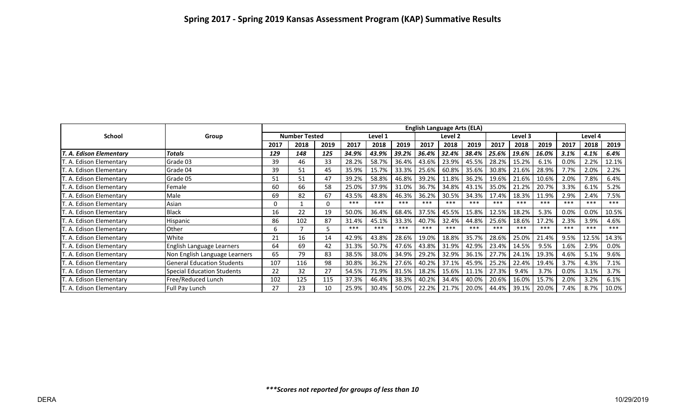|                                 |                                   | <b>English Language Arts (ELA)</b> |      |      |         |       |          |         |       |          |         |       |       |         |       |         |
|---------------------------------|-----------------------------------|------------------------------------|------|------|---------|-------|----------|---------|-------|----------|---------|-------|-------|---------|-------|---------|
| <b>School</b>                   | Group                             | <b>Number Tested</b>               |      |      | Level 1 |       |          | Level 2 |       |          | Level 3 |       |       | Level 4 |       |         |
|                                 |                                   | 2017                               | 2018 | 2019 | 2017    | 2018  | 2019     | 2017    | 2018  | 2019     | 2017    | 2018  | 2019  | 2017    | 2018  | 2019    |
| T. A. Edison Elementary         | Totals                            | 129                                | 148  | 125  | 34.9%   | 43.9% | 39.2%    | 36.4%   | 32.4% | 38.4%    | 25.6%   | 19.6% | 16.0% | 3.1%    | 4.1%  | 6.4%    |
| T. A. Edison Elementary         | Grade 03                          | 39                                 | 46   | 33   | 28.2%   | 58.7% | 36.4%    | 43.6%   | 23.9% | 45.5%    | 28.2%   | 15.2% | 6.1%  | 0.0%    | 2.2%  | 12.1%   |
| T. A. Edison Elementary         | Grade 04                          | 39                                 | 51   | 45   | 35.9%   | 15.7% | 33.3%    | 25.6%   | 60.8% | 35.6%    | 30.8%   | 21.6% | 28.9% | 7.7%    | 2.0%  | 2.2%    |
| T. A. Edison Elementary         | Grade 05                          | 51                                 | 51   | 47   | 39.2%   | 58.8% | 46.8%    | 39.2%   | 11.8% | 36.2%    | 19.6%   | 21.6% | 10.6% | 2.0%    | 7.8%  | 6.4%    |
| T. A. Edison Elementary         | Female                            | 60                                 | 66   | 58   | 25.0%   | 37.9% | 31.0%    | 36.7%   | 34.8% | 43.1%    | 35.0%   | 21.2% | 20.7% | 3.3%    | 6.1%  | 5.2%    |
| T. A. Edison Elementary         | Male                              | 69                                 | 82   | 67   | 43.5%   | 48.8% | 46.3%    | 36.2%   | 30.5% | 34.3%    | 17.4%   | 18.3% | 11.9% | 2.9%    | 2.4%  | 7.5%    |
| T. A. Edison Elementary         | Asian                             | 0                                  |      | 0    | ***     | ***   | $***$    | ***     | ***   | ***      | ***     | ***   | ***   | ***     | ***   | ***     |
| T. A. Edison Elementary         | <b>Black</b>                      | 16                                 | 22   | 19   | 50.0%   | 36.4% | 68.4%    | 37.5%   | 45.5% | 15.8%    | 12.5%   | 18.2% | 5.3%  | 0.0%    | 0.0%  | 10.5%   |
| T. A. Edison Elementary         | Hispanic                          | 86                                 | 102  | 87   | 31.4%   | 45.1% | 33.3%    | 40.7%   | 32.4% | 44.8%    | 25.6%   | 18.6% | 17.2% | 2.3%    | 3.9%  | 4.6%    |
| T. A. Edison Elementary         | <b>Other</b>                      | 6                                  |      |      | ***     | ***   | $***$    | ***     | ***   | ***      | ***     | ***   | ***   | ***     | ***   | ***     |
| T. A. Edison Elementary         | White                             | 21                                 | 16   | 14   | 42.9%   | 43.8% | 28.6%    | 19.0%   | 18.8% | 35.7%    | 28.6%   | 25.0% | 21.4% | 9.5%    | 12.5% | 14.3%   |
| T. A. Edison Elementary         | English Language Learners         | 64                                 | 69   | 42   | 31.3%   | 50.7% | 47.6%    | 43.8%   | 31.9% | 42.9%    | 23.4%   | 14.5% | 9.5%  | 1.6%    | 2.9%  | $0.0\%$ |
| T. A. Edison Elementary         | Non English Language Learners     | 65                                 | 79   | 83   | 38.5%   | 38.0% | 34.9%    | 29.2%   | 32.9% | 36.1%    | 27.7%   | 24.1% | 19.3% | 4.6%    | 5.1%  | 9.6%    |
| T. A. Edison Elementary         | <b>General Education Students</b> | 107                                | 116  | 98   | 30.8%   | 36.2% | 27.6%    | 40.2%   | 37.1% | 45.9%    | 25.2%   | 22.4% | 19.4% | 3.7%    | 4.3%  | 7.1%    |
| T. A. Edison Elementary         | Special Education Students        | 22                                 | 32   | 27   | 54.5%   | 71.9% | 81.5%    | 18.2%   | 15.6% | 11.1%    | 27.3%   | 9.4%  | 3.7%  | 0.0%    | 3.1%  | 3.7%    |
| T. A. Edison Elementary         | Free/Reduced Lunch                | 102                                | 125  | 115  | 37.3%   | 46.4% | 38.3%    | 40.2%   | 34.4% | 40.0%    | 20.6%   | 16.0% | 15.7% | 2.0%    | 3.2%  | 6.1%    |
| <b>IT. A. Edison Elementary</b> | <b>Full Pay Lunch</b>             | 27                                 | 23   | 10   | 25.9%   | 30.4% | $50.0\%$ | 22.2%   | 21.7% | $20.0\%$ | 44.4%   | 39.1% | 20.0% | 7.4%    | 8.7%  | 10.0%   |